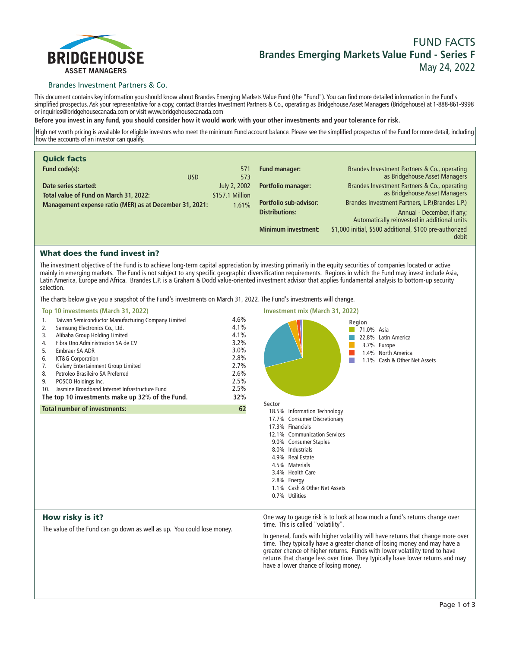

# **FUND FACTS Brandes Emerging Markets Value Fund - Series F May 24, 2022**

### Brandes Investment Partners & Co.

**This document contains key information you should know about Brandes Emerging Markets Value Fund (the "Fund"). You can find more detailed information in the Fund's simplified prospectus. Ask your representative for a copy, contact Brandes Investment Partners & Co., operating as Bridgehouse Asset Managers (Bridgehouse) at 1-888-861-9998 or inquiries@bridgehousecanada.com or visit www.bridgehousecanada.com**

**Before you invest in any fund, you should consider how it would work with your other investments and your tolerance for risk.**

**High net worth pricing is available for eligible investors who meet the minimum Fund account balance. Please see the simplified prospectus of the Fund for more detail, including how the accounts of an investor can qualify.**

| <b>Quick facts</b>                                             |                                 |                               |                                                                               |
|----------------------------------------------------------------|---------------------------------|-------------------------------|-------------------------------------------------------------------------------|
| Fund code(s):<br><b>USD</b>                                    | 571<br>573                      | <b>Fund manager:</b>          | Brandes Investment Partners & Co., operating<br>as Bridgehouse Asset Managers |
| Date series started:<br>Total value of Fund on March 31, 2022: | July 2, 2002<br>\$157.1 Million | <b>Portfolio manager:</b>     | Brandes Investment Partners & Co., operating<br>as Bridgehouse Asset Managers |
| Management expense ratio (MER) as at December 31, 2021:        | 1.61%                           | <b>Portfolio sub-advisor:</b> | Brandes Investment Partners, L.P. (Brandes L.P.)                              |
|                                                                |                                 | <b>Distributions:</b>         | Annual - December, if any;<br>Automatically reinvested in additional units    |
|                                                                |                                 | <b>Minimum investment:</b>    | \$1,000 initial, \$500 additional, \$100 pre-authorized<br>debit              |

## What does the fund invest in?

**The investment objective of the Fund is to achieve long-term capital appreciation by investing primarily in the equity securities of companies located or active mainly in emerging markets. The Fund is not subject to any specific geographic diversification requirements. Regions in which the Fund may invest include Asia, Latin America, Europe and Africa. Brandes L.P. is a Graham & Dodd value-oriented investment advisor that applies fundamental analysis to bottom-up security selection.**

**The charts below give you a snapshot of the Fund's investments on March 31, 2022. The Fund's investments will change.**

| Top 10 investments (March 31, 2022)                                                                                                                                                                                                                                                                                                                                                                                                                                | <b>Investment mix (March 31, 2022)</b>                                              |                                                                                                                                                                                                                                                                                                    |
|--------------------------------------------------------------------------------------------------------------------------------------------------------------------------------------------------------------------------------------------------------------------------------------------------------------------------------------------------------------------------------------------------------------------------------------------------------------------|-------------------------------------------------------------------------------------|----------------------------------------------------------------------------------------------------------------------------------------------------------------------------------------------------------------------------------------------------------------------------------------------------|
| Taiwan Semiconductor Manufacturing Company Limited<br>1.<br>Samsung Electronics Co., Ltd.<br>2.<br>Alibaba Group Holding Limited<br>3.<br>Fibra Uno Administracion SA de CV<br>4.<br>Embraer SA ADR<br>5.<br>KT&G Corporation<br>6.<br>Galaxy Entertainment Group Limited<br>7.<br>Petroleo Brasileiro SA Preferred<br>8.<br>POSCO Holdings Inc.<br>9.<br>Jasmine Broadband Internet Infrastructure Fund<br>10.<br>The top 10 investments make up 32% of the Fund. | 4.6%<br>4.1%<br>4.1%<br>3.2%<br>3.0%<br>2.8%<br>2.7%<br>2.6%<br>2.5%<br>2.5%<br>32% | Region<br>71.0% Asia<br>22.8% Latin America<br>3.7% Europe<br>1.4% North America<br>1.1% Cash & Other Net Assets                                                                                                                                                                                   |
| <b>Total number of investments:</b>                                                                                                                                                                                                                                                                                                                                                                                                                                | 62                                                                                  | Sector<br>18.5% Information Technology<br>17.7% Consumer Discretionary<br>17.3% Financials<br>12.1% Communication Services<br>9.0% Consumer Staples<br>8.0% Industrials<br>4.9% Real Estate<br>4.5% Materials<br>3.4% Health Care<br>2.8% Energy<br>1.1% Cash & Other Net Assets<br>0.7% Utilities |
| How risky is it?                                                                                                                                                                                                                                                                                                                                                                                                                                                   |                                                                                     | One way to gauge risk is to look at how much a fund's returns change over                                                                                                                                                                                                                          |

**The value of the Fund can go down as well as up. You could lose money.**

**time. This is called "volatility".**

**In general, funds with higher volatility will have returns that change more over time. They typically have a greater chance of losing money and may have a greater chance of higher returns. Funds with lower volatility tend to have returns that change less over time. They typically have lower returns and may have a lower chance of losing money.**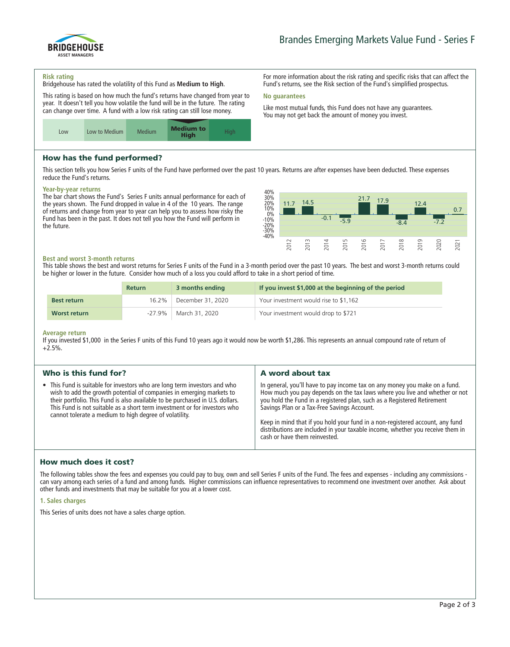

**For more information about the risk rating and specific risks that can affect the Fund's returns, see the Risk section of the Fund's simplified prospectus.**

**Like most mutual funds, this Fund does not have any guarantees. You may not get back the amount of money you invest.**

#### **Risk rating**

**Bridgehouse has rated the volatility of this Fund as Medium to High.**

**This rating is based on how much the fund's returns have changed from year to year. It doesn't tell you how volatile the fund will be in the future. The rating can change over time. A fund with a low risk rating can still lose money.**



# How has the fund performed?

**This section tells you how Series F units of the Fund have performed over the past 10 years. Returns are after expenses have been deducted. These expenses reduce the Fund's returns.**

**No guarantees**

### **Year-by-year returns**

**The bar chart shows the Fund's Series F units annual performance for each of the years shown. The Fund dropped in value in 4 of the 10 years. The range of returns and change from year to year can help you to assess how risky the Fund has been in the past. It does not tell you how the Fund will perform in the future.**



### **Best and worst 3-month returns**

**This table shows the best and worst returns for Series F units of the Fund in a 3-month period over the past 10 years. The best and worst 3-month returns could be higher or lower in the future. Consider how much of a loss you could afford to take in a short period of time.**

|                    | <b>Return</b> | 3 months ending   | If you invest \$1,000 at the beginning of the period |
|--------------------|---------------|-------------------|------------------------------------------------------|
| <b>Best return</b> | 16.2%         | December 31, 2020 | Your investment would rise to \$1,162                |
| Worst return       | $-27.9\%$     | March 31, 2020    | Your investment would drop to \$721                  |

#### **Average return**

**If you invested \$1,000 in the Series F units of this Fund 10 years ago it would now be worth \$1,286. This represents an annual compound rate of return of +2.5%.**

| Who is this fund for?                                                                                                                                                                                                                                                                                                                                                     | A word about tax                                                                                                                                                                                                                                                                                                                                                                                                                                                                       |
|---------------------------------------------------------------------------------------------------------------------------------------------------------------------------------------------------------------------------------------------------------------------------------------------------------------------------------------------------------------------------|----------------------------------------------------------------------------------------------------------------------------------------------------------------------------------------------------------------------------------------------------------------------------------------------------------------------------------------------------------------------------------------------------------------------------------------------------------------------------------------|
| • This Fund is suitable for investors who are long term investors and who<br>wish to add the growth potential of companies in emerging markets to<br>their portfolio. This Fund is also available to be purchased in U.S. dollars.<br>This Fund is not suitable as a short term investment or for investors who<br>cannot tolerate a medium to high degree of volatility. | In general, you'll have to pay income tax on any money you make on a fund.<br>How much you pay depends on the tax laws where you live and whether or not<br>you hold the Fund in a registered plan, such as a Registered Retirement<br>Savings Plan or a Tax-Free Savings Account.<br>Keep in mind that if you hold your fund in a non-registered account, any fund<br>distributions are included in your taxable income, whether you receive them in<br>cash or have them reinvested. |

### How much does it cost?

**The following tables show the fees and expenses you could pay to buy, own and sell Series F units of the Fund. The fees and expenses - including any commissions can vary among each series of a fund and among funds. Higher commissions can influence representatives to recommend one investment over another. Ask about other funds and investments that may be suitable for you at a lower cost.**

### **1. Sales charges**

**This Series of units does not have a sales charge option.**